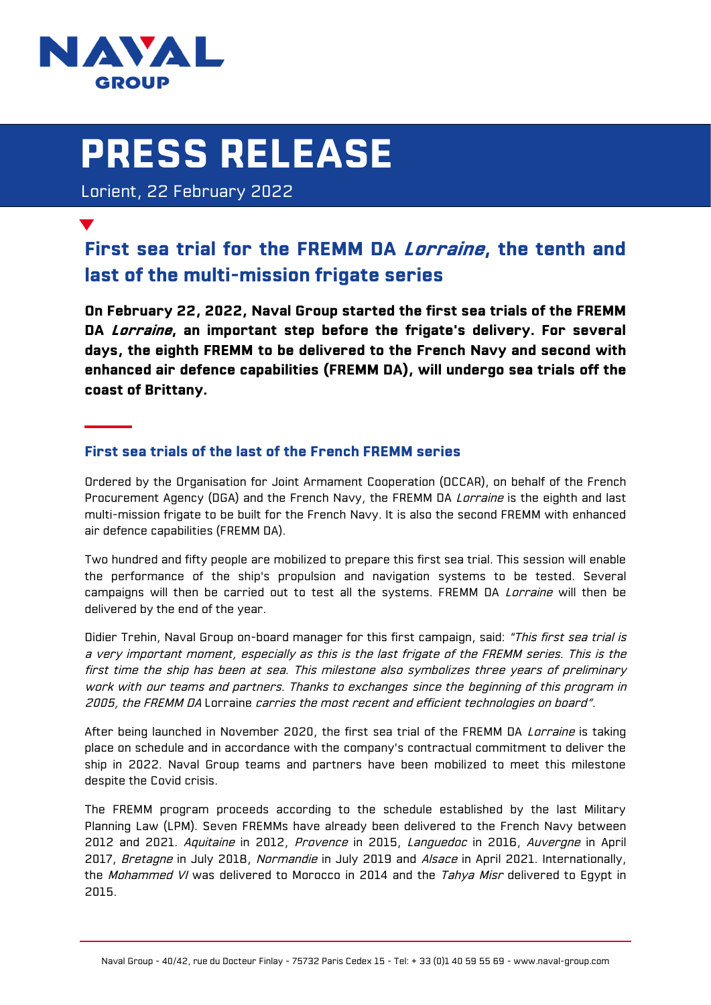

# **PRESS RELEASE**

Lorient, 22 February 2022

# **First sea trial for the FREMM DA Lorraine, the tenth and last of the multi-mission frigate series**

**On February 22, 2022, Naval Group started the first sea trials of the FREMM DA Lorraine, an important step before the frigate's delivery. For several days, the eighth FREMM to be delivered to the French Navy and second with enhanced air defence capabilities (FREMM DA), will undergo sea trials off the coast of Brittany.**

# **First sea trials of the last of the French FREMM series**

Ordered by the Organisation for Joint Armament Cooperation (OCCAR), on behalf of the French Procurement Agency (DGA) and the French Navy, the FREMM DA Lorraine is the eighth and last multi-mission frigate to be built for the French Navy. It is also the second FREMM with enhanced air defence capabilities (FREMM DA).

Two hundred and fifty people are mobilized to prepare this first sea trial. This session will enable the performance of the ship's propulsion and navigation systems to be tested. Several campaigns will then be carried out to test all the systems. FREMM DA Lorraine will then be delivered by the end of the year.

Didier Trehin, Naval Group on-board manager for this first campaign, said: "This first sea trial is a very important moment, especially as this is the last frigate of the FREMM series. This is the first time the ship has been at sea. This milestone also symbolizes three years of preliminary work with our teams and partners. Thanks to exchanges since the beginning of this program in 2005, the FREMM DA Lorraine carries the most recent and efficient technologies on board".

After being launched in November 2020, the first sea trial of the FREMM DA Larraine is taking place on schedule and in accordance with the company's contractual commitment to deliver the ship in 2022. Naval Group teams and partners have been mobilized to meet this milestone despite the Covid crisis.

The FREMM program proceeds according to the schedule established by the last Military Planning Law (LPM). Seven FREMMs have already been delivered to the French Navy between 2012 and 2021. Aquitaine in 2012, Provence in 2015, Languedoc in 2016, Auvergne in April 2017, Bretagne in July 2018, Normandie in July 2019 and Alsace in April 2021. Internationally, the Mohammed VI was delivered to Morocco in 2014 and the Tahya Misr delivered to Egypt in 2015.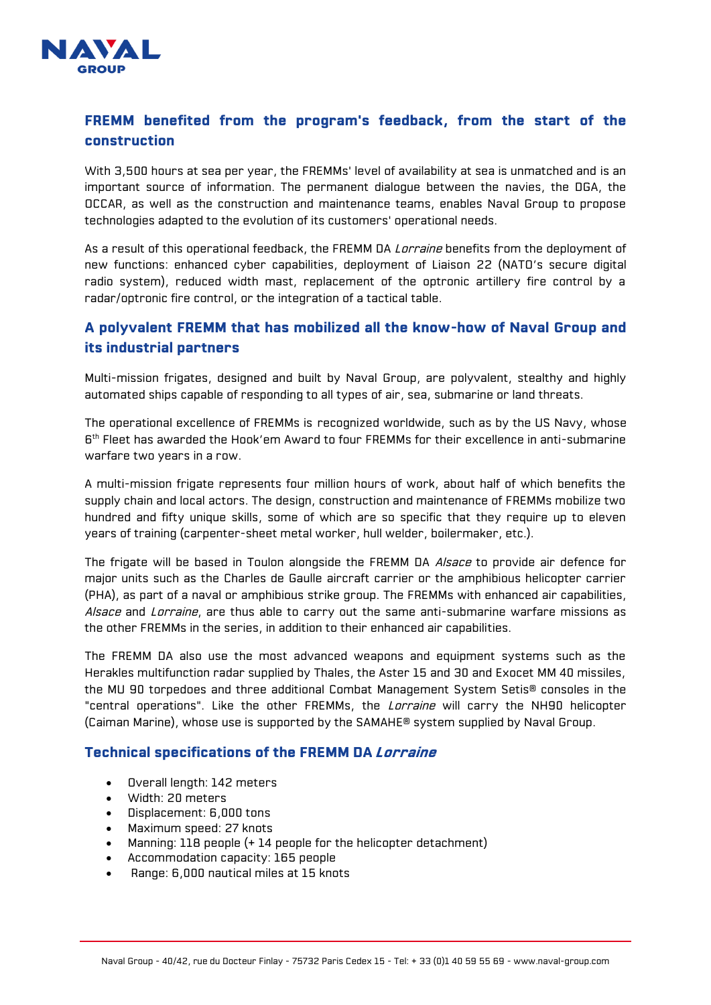

# **FREMM benefited from the program's feedback, from the start of the construction**

With 3,500 hours at sea per year, the FREMMs' level of availability at sea is unmatched and is an important source of information. The permanent dialogue between the navies, the DGA, the OCCAR, as well as the construction and maintenance teams, enables Naval Group to propose technologies adapted to the evolution of its customers' operational needs.

As a result of this operational feedback, the FREMM DA Lorraine benefits from the deployment of new functions: enhanced cyber capabilities, deployment of Liaison 22 (NATO's secure digital radio system), reduced width mast, replacement of the optronic artillery fire control by a radar/optronic fire control, or the integration of a tactical table.

## **A polyvalent FREMM that has mobilized all the know-how of Naval Group and its industrial partners**

Multi-mission frigates, designed and built by Naval Group, are polyvalent, stealthy and highly automated ships capable of responding to all types of air, sea, submarine or land threats.

The operational excellence of FREMMs is recognized worldwide, such as by the US Navy, whose 6 th Fleet has awarded the Hook'em Award to four FREMMs for their excellence in anti-submarine warfare two years in a row.

A multi-mission frigate represents four million hours of work, about half of which benefits the supply chain and local actors. The design, construction and maintenance of FREMMs mobilize two hundred and fifty unique skills, some of which are so specific that they require up to eleven years of training (carpenter-sheet metal worker, hull welder, boilermaker, etc.).

The frigate will be based in Toulon alongside the FREMM DA Alsace to provide air defence for major units such as the Charles de Gaulle aircraft carrier or the amphibious helicopter carrier (PHA), as part of a naval or amphibious strike group. The FREMMs with enhanced air capabilities, Alsace and Lorraine, are thus able to carry out the same anti-submarine warfare missions as the other FREMMs in the series, in addition to their enhanced air capabilities.

The FREMM DA also use the most advanced weapons and equipment systems such as the Herakles multifunction radar supplied by Thales, the Aster 15 and 30 and Exocet MM 40 missiles, the MU 90 torpedoes and three additional Combat Management System Setis® consoles in the "central operations". Like the other FREMMs, the *Lorraine* will carry the NH90 helicopter (Caiman Marine), whose use is supported by the SAMAHE® system supplied by Naval Group.

#### **Technical specifications of the FREMM DA Lorraine**

- Overall length: 142 meters
- Width: 20 meters
- Displacement: 6,000 tons
- Maximum speed: 27 knots
- Manning: 118 people (+ 14 people for the helicopter detachment)
- Accommodation capacity: 165 people
- Range: 6,000 nautical miles at 15 knots